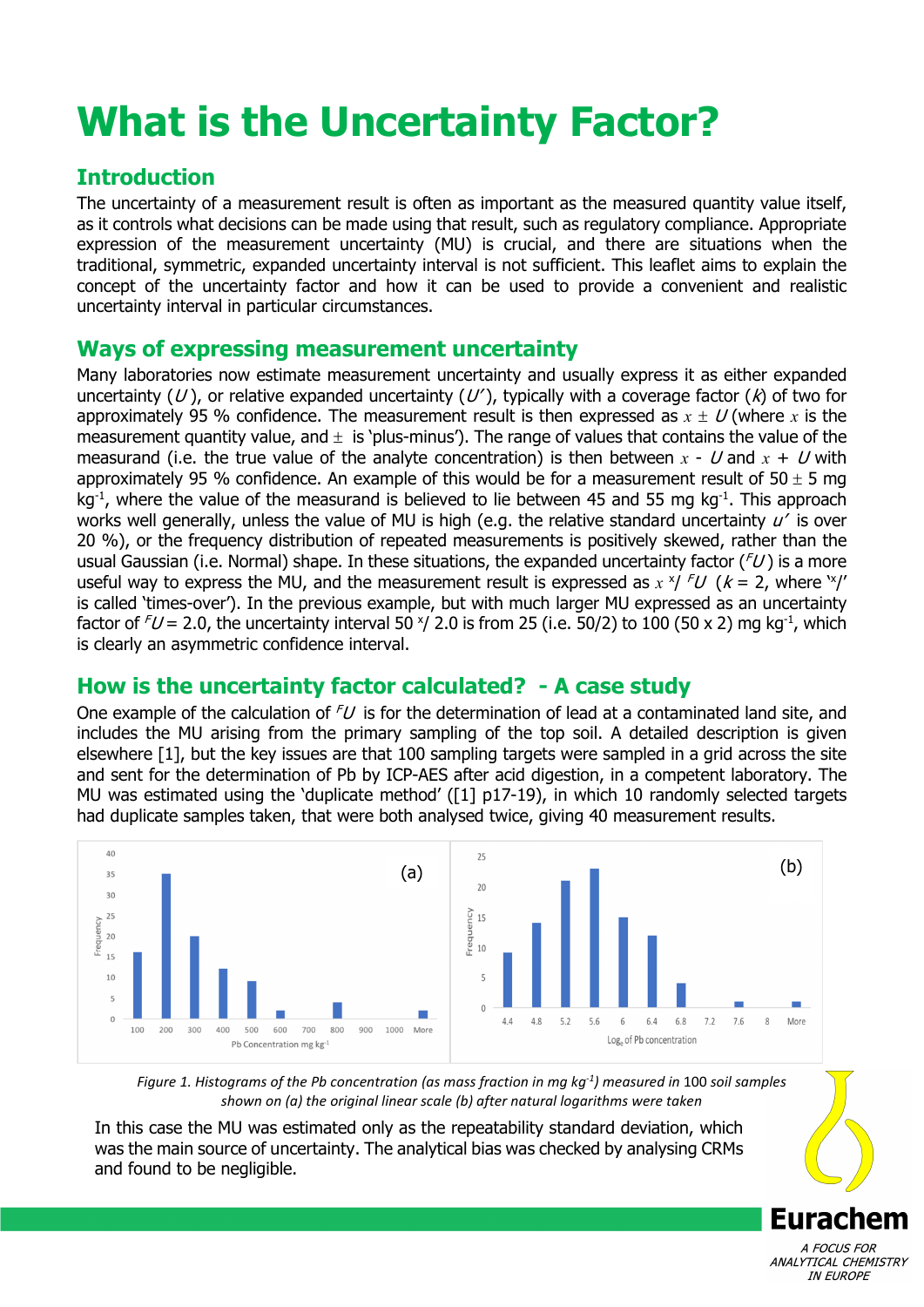# **What is the Uncertainty Factor?**

## **Introduction**

The uncertainty of a measurement result is often as important as the measured quantity value itself, as it controls what decisions can be made using that result, such as regulatory compliance. Appropriate expression of the measurement uncertainty (MU) is crucial, and there are situations when the traditional, symmetric, expanded uncertainty interval is not sufficient. This leaflet aims to explain the concept of the uncertainty factor and how it can be used to provide a convenient and realistic uncertainty interval in particular circumstances.

## **Ways of expressing measurement uncertainty**

Many laboratories now estimate measurement uncertainty and usually express it as either expanded uncertainty (U), or relative expanded uncertainty (U'), typically with a coverage factor (k) of two for approximately 95 % confidence. The measurement result is then expressed as  $x \pm U$  (where x is the measurement quantity value, and  $\pm$  is 'plus-minus'). The range of values that contains the value of the measurand (i.e. the true value of the analyte concentration) is then between  $x - U$  and  $x + U$  with approximately 95 % confidence. An example of this would be for a measurement result of 50  $\pm$  5 mg  $kg<sup>-1</sup>$ , where the value of the measurand is believed to lie between 45 and 55 mg kg<sup>-1</sup>. This approach works well generally, unless the value of MU is high (e.g. the relative standard uncertainty  $u'$  is over 20 %), or the frequency distribution of repeated measurements is positively skewed, rather than the usual Gaussian (i.e. Normal) shape. In these situations, the expanded uncertainty factor  $(FU)$  is a more useful way to express the MU, and the measurement result is expressed as  $x \times / \sqrt{fU}$  ( $k = 2$ , where  $\frac{y}{k}$ ) is called 'times-over'). In the previous example, but with much larger MU expressed as an uncertainty factor of  $FU$  = 2.0, the uncertainty interval 50  $\frac{x}{2}$ .0 is from 25 (i.e. 50/2) to 100 (50 x 2) mg kg<sup>-1</sup>, which is clearly an asymmetric confidence interval.

## **How is the uncertainty factor calculated? - A case study**

One example of the calculation of  $FU$  is for the determination of lead at a contaminated land site, and includes the MU arising from the primary sampling of the top soil. A detailed description is given elsewhere [1], but the key issues are that 100 sampling targets were sampled in a grid across the site and sent for the determination of Pb by ICP-AES after acid digestion, in a competent laboratory. The MU was estimated using the 'duplicate method' ([1] p17-19), in which 10 randomly selected targets had duplicate samples taken, that were both analysed twice, giving 40 measurement results.



*Figure 1. Histograms of the Pb concentration (as mass fraction in mg kg-1) measured in* 100 *soil samples shown on (a) the original linear scale (b) after natural logarithms were taken*

In this case the MU was estimated only as the repeatability standard deviation, which was the main source of uncertainty. The analytical bias was checked by analysing CRMs and found to be negligible.

> A FOCUS FOR ANALYTICAL CHEMISTRY **IN EUROPE**

**Eurachem**